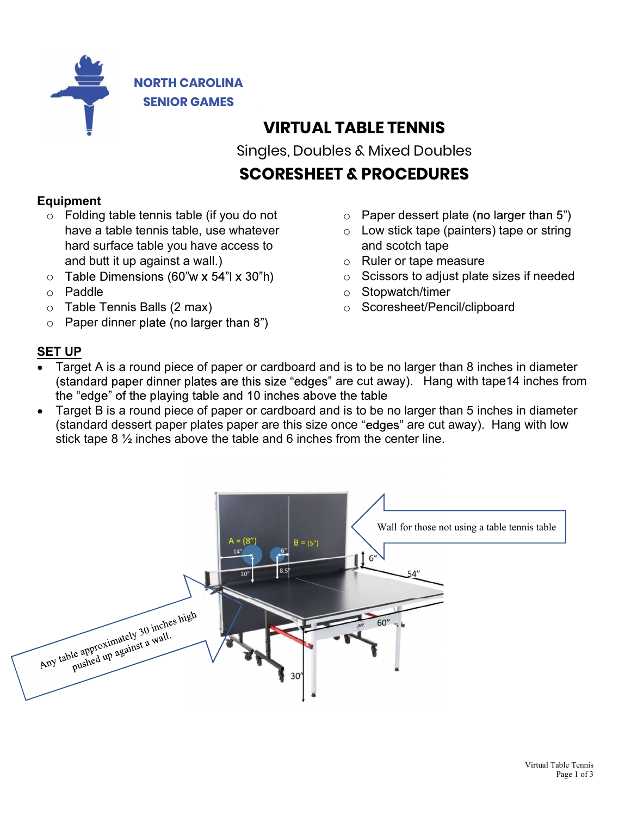

## VIRTUAL TABLE TENNIS

Singles, Doubles & Mixed Doubles

# SCORESHEET & PROCEDURES

### Equipment

- o Folding table tennis table (if you do not have a table tennis table, use whatever hard surface table you have access to and butt it up against a wall.)
- $\circ$  Table Dimensions (60"w x 54"l x 30"h)
- o Paddle
- o Table Tennis Balls (2 max)
- $\circ$  Paper dinner plate (no larger than 8")
- $\circ$  Paper dessert plate (no larger than 5")
- $\circ$  Low stick tape (painters) tape or string and scotch tape
- o Ruler or tape measure
- o Scissors to adjust plate sizes if needed
- o Stopwatch/timer
- o Scoresheet/Pencil/clipboard

## SET UP

- Target A is a round piece of paper or cardboard and is to be no larger than 8 inches in diameter (standard paper dinner plates are this size "edges" are cut away). Hang with tape14 inches from the "edge" of the playing table and 10 inches above the table
- Target B is a round piece of paper or cardboard and is to be no larger than 5 inches in diameter  $\bullet$ (standard dessert paper plates paper are this size once "edges" are cut away). Hang with low stick tape 8 ½ inches above the table and 6 inches from the center line.

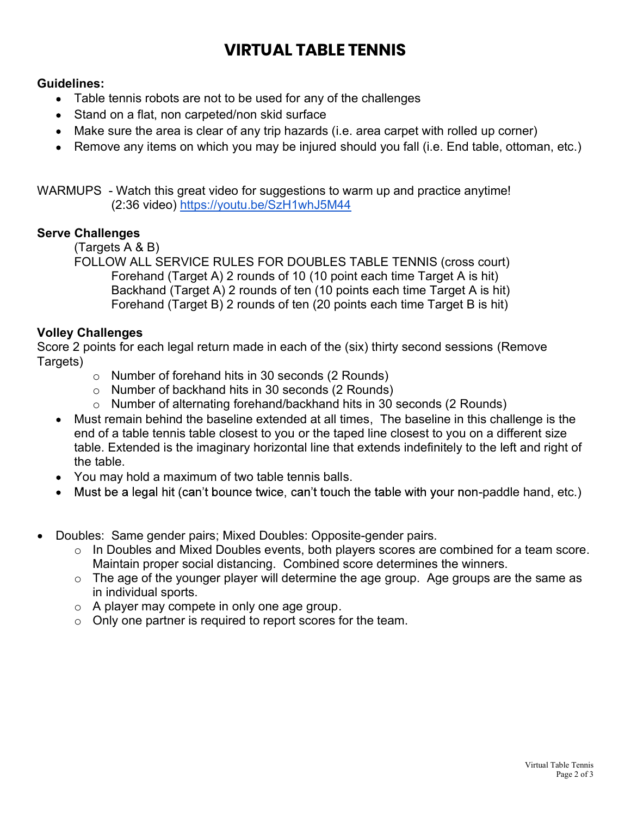# VIRTUAL TABLE TENNIS

#### Guidelines:

- Table tennis robots are not to be used for any of the challenges
- Stand on a flat, non carpeted/non skid surface
- Make sure the area is clear of any trip hazards (i.e. area carpet with rolled up corner)
- Remove any items on which you may be injured should you fall (i.e. End table, ottoman, etc.)

WARMUPS - Watch this great video for suggestions to warm up and practice anytime! (2:36 video) https://youtu.be/SzH1whJ5M44

#### Serve Challenges

(Targets A & B)

FOLLOW ALL SERVICE RULES FOR DOUBLES TABLE TENNIS (cross court) Forehand (Target A) 2 rounds of 10 (10 point each time Target A is hit) Backhand (Target A) 2 rounds of ten (10 points each time Target A is hit) Forehand (Target B) 2 rounds of ten (20 points each time Target B is hit)

#### Volley Challenges

Score 2 points for each legal return made in each of the (six) thirty second sessions (Remove Targets)

- o Number of forehand hits in 30 seconds (2 Rounds)
- o Number of backhand hits in 30 seconds (2 Rounds)
- o Number of alternating forehand/backhand hits in 30 seconds (2 Rounds)
- Must remain behind the baseline extended at all times, The baseline in this challenge is the end of a table tennis table closest to you or the taped line closest to you on a different size table. Extended is the imaginary horizontal line that extends indefinitely to the left and right of the table.
- You may hold a maximum of two table tennis balls.
- Must be a legal hit (can't bounce twice, can't touch the table with your non-paddle hand, etc.)
- Doubles: Same gender pairs; Mixed Doubles: Opposite-gender pairs.
	- o In Doubles and Mixed Doubles events, both players scores are combined for a team score. Maintain proper social distancing. Combined score determines the winners.
	- o The age of the younger player will determine the age group. Age groups are the same as in individual sports.
	- o A player may compete in only one age group.
	- o Only one partner is required to report scores for the team.